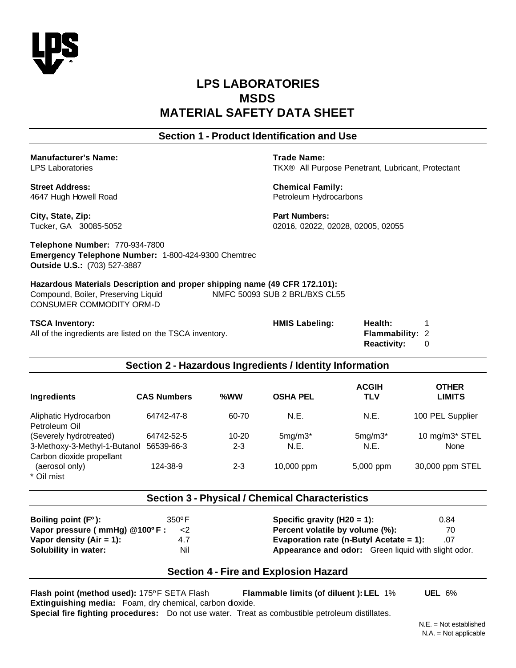

# **LPS LABORATORIES MSDS MATERIAL SAFETY DATA SHEET**

# **Section 1 - Product Identification and Use**

**Manufacturer's Name: Trade Name:**

**Street Address: Chemical Family:** 4647 Hugh Howell Road Petroleum Hydrocarbons

LPS Laboratories TKX® All Purpose Penetrant, Lubricant, Protectant

**City, State, Zip: Part Numbers: Part Numbers:** 

Tucker, GA 30085-5052 02016, 02022, 02028, 02005, 02055

**Telephone Number:** 770-934-7800 **Emergency Telephone Number:** 1-800-424-9300 Chemtrec **Outside U.S.:** (703) 527-3887

**Hazardous Materials Description and proper shipping name (49 CFR 172.101):** Compound, Boiler, Preserving Liquid NMFC 50093 SUB 2 BRL/BXS CL55 CONSUMER COMMODITY ORM-D

**TSCA Inventory: HMIS Labeling: Health:** 1 All of the ingredients are listed on the TSCA inventory. **Flammability: 2 Reactivity:** 0

### **Section 2 - Hazardous Ingredients / Identity Information**

| Ingredients                  | <b>CAS Numbers</b> | % $WW$    | <b>OSHA PEL</b> | <b>ACGIH</b><br><b>TLV</b> | <b>OTHER</b><br><b>LIMITS</b> |
|------------------------------|--------------------|-----------|-----------------|----------------------------|-------------------------------|
| Aliphatic Hydrocarbon        | 64742-47-8         | 60-70     | N.E.            | N.E.                       | 100 PEL Supplier              |
| Petroleum Oil                |                    |           |                 |                            |                               |
| (Severely hydrotreated)      | 64742-52-5         | $10 - 20$ | $5mg/m3*$       | $5mg/m3*$                  | 10 mg/m3* STEL                |
| 3-Methoxy-3-Methyl-1-Butanol | 56539-66-3         | $2 - 3$   | N.E.            | N.E.                       | None                          |
| Carbon dioxide propellant    |                    |           |                 |                            |                               |
| (aerosol only)               | 124-38-9           | $2 - 3$   | $10,000$ ppm    | 5,000 ppm                  | 30,000 ppm STEL               |
| * Oil mist                   |                    |           |                 |                            |                               |

#### **Section 3 - Physical / Chemical Characteristics**

| Boiling point (F <sup>o</sup> ): | $350^{\circ}$ F |
|----------------------------------|-----------------|
| Vapor pressure ( mmHg) @100°F :  | $\langle$       |
| Vapor density (Air = 1):         | 4.7             |
| Solubility in water:             | Nil             |

**Specific gravity (H20 = 1):** 0.84 **Percent volatile by volume (%):** 70 **Vapor density (Air = 1):** 4.7 **Evaporation rate (n-Butyl Acetate = 1):** .07 Appearance and odor: Green liquid with slight odor.

# **Section 4 - Fire and Explosion Hazard**

**Flash point (method used):** 175ºF SETA Flash **Flammable limits (of diluent ): LEL** 1% **UEL** 6% **Extinguishing media:** Foam, dry chemical, carbon dioxide. **Special fire fighting procedures:** Do not use water. Treat as combustible petroleum distillates.

 $N.F. = Not established$ N.A. = Not applicable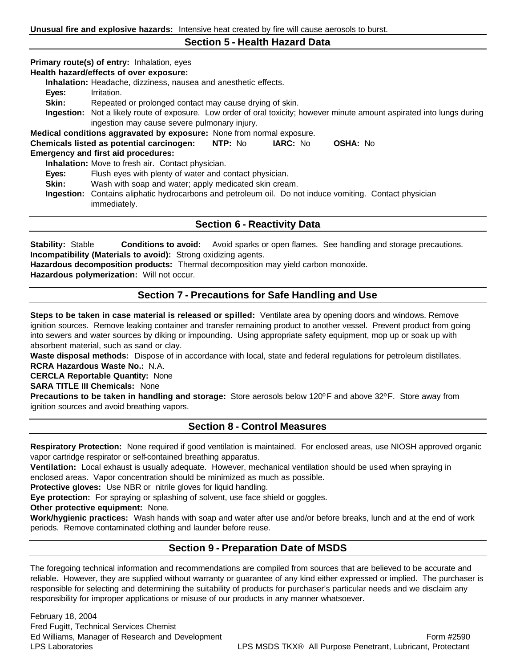#### **Section 5 - Health Hazard Data**

**Primary route(s) of entry:** Inhalation, eyes

**Health hazard/effects of over exposure:**

**Inhalation:** Headache, dizziness, nausea and anesthetic effects.

- **Eyes:** Irritation.
- **Skin:** Repeated or prolonged contact may cause drying of skin.
- **Ingestion:** Not a likely route of exposure. Low order of oral toxicity; however minute amount aspirated into lungs during ingestion may cause severe pulmonary injury.

**Medical conditions aggravated by exposure:** None from normal exposure.

| Chemicals listed as potential carcinogen:  | NTP: No | <b>IARC: No</b> | <b>OSHA: No</b> |
|--------------------------------------------|---------|-----------------|-----------------|
| <b>Emergency and first aid procedures:</b> |         |                 |                 |

**Inhalation:** Move to fresh air. Contact physician.

**Eyes:** Flush eyes with plenty of water and contact physician.

**Skin:** Wash with soap and water; apply medicated skin cream.

**Ingestion:** Contains aliphatic hydrocarbons and petroleum oil. Do not induce vomiting. Contact physician immediately.

### **Section 6 - Reactivity Data**

**Stability:** Stable **Conditions to avoid:** Avoid sparks or open flames. See handling and storage precautions. **Incompatibility (Materials to avoid):** Strong oxidizing agents.

**Hazardous decomposition products:** Thermal decomposition may yield carbon monoxide.

**Hazardous polymerization:** Will not occur.

# **Section 7 - Precautions for Safe Handling and Use**

**Steps to be taken in case material is released or spilled:** Ventilate area by opening doors and windows. Remove ignition sources. Remove leaking container and transfer remaining product to another vessel. Prevent product from going into sewers and water sources by diking or impounding. Using appropriate safety equipment, mop up or soak up with absorbent material, such as sand or clay.

**Waste disposal methods:** Dispose of in accordance with local, state and federal regulations for petroleum distillates. **RCRA Hazardous Waste No.:** N.A.

**CERCLA Reportable Quantity:** None

**SARA TITLE III Chemicals:** None

**Precautions to be taken in handling and storage:** Store aerosols below 120ºF and above 32ºF. Store away from ignition sources and avoid breathing vapors.

## **Section 8 - Control Measures**

**Respiratory Protection:** None required if good ventilation is maintained. For enclosed areas, use NIOSH approved organic vapor cartridge respirator or self-contained breathing apparatus.

**Ventilation:** Local exhaust is usually adequate. However, mechanical ventilation should be used when spraying in enclosed areas. Vapor concentration should be minimized as much as possible.

**Protective gloves:** Use NBR or nitrile gloves for liquid handling.

**Eye protection:** For spraying or splashing of solvent, use face shield or goggles.

**Other protective equipment:** None.

**Work/hygienic practices:** Wash hands with soap and water after use and/or before breaks, lunch and at the end of work periods. Remove contaminated clothing and launder before reuse.

# **Section 9 - Preparation Date of MSDS**

The foregoing technical information and recommendations are compiled from sources that are believed to be accurate and reliable. However, they are supplied without warranty or guarantee of any kind either expressed or implied. The purchaser is responsible for selecting and determining the suitability of products for purchaser's particular needs and we disclaim any responsibility for improper applications or misuse of our products in any manner whatsoever.

February 18, 2004 Fred Fugitt, Technical Services Chemist